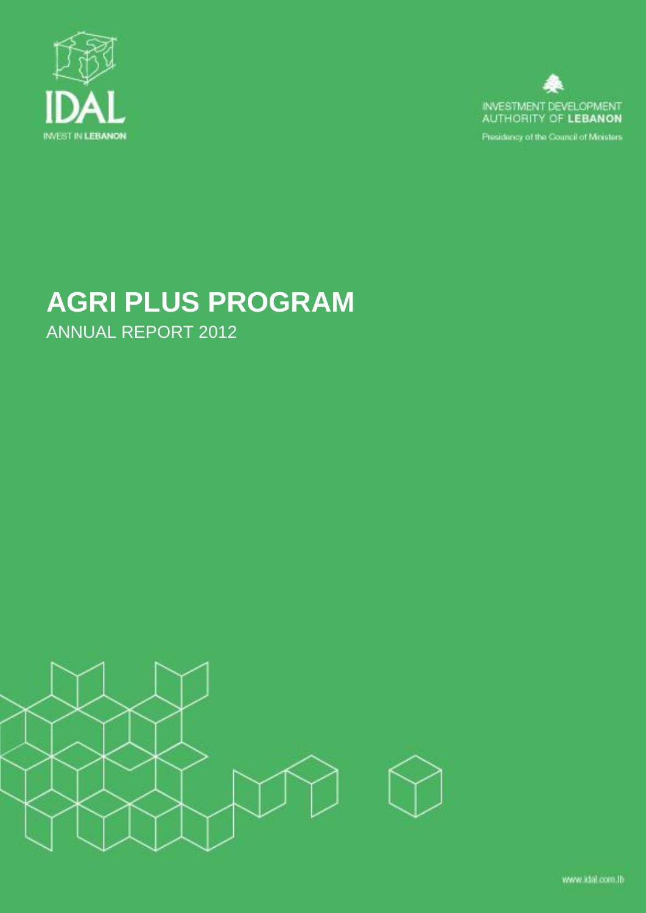



Presidency of the Council of Moisters

# **AGRI PLUS PROGRAM** ANNUAL REPORT 2012

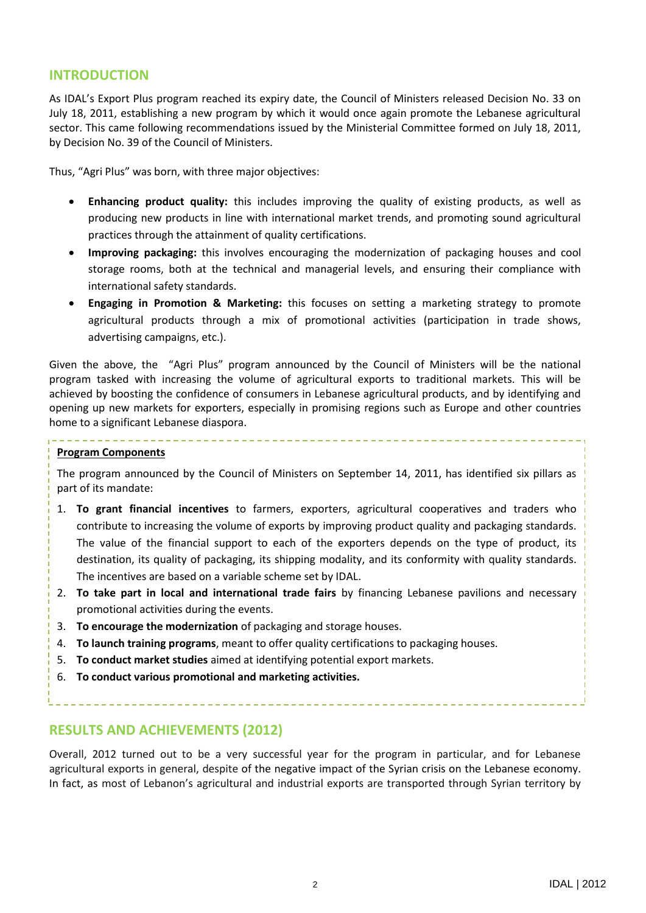## **INTRODUCTION**

As IDAL's Export Plus program reached its expiry date, the Council of Ministers released Decision No. 33 on July 18, 2011, establishing a new program by which it would once again promote the Lebanese agricultural sector. This came following recommendations issued by the Ministerial Committee formed on July 18, 2011, by Decision No. 39 of the Council of Ministers.

Thus, "Agri Plus" was born, with three major objectives:

- **Enhancing product quality:** this includes improving the quality of existing products, as well as producing new products in line with international market trends, and promoting sound agricultural practices through the attainment of quality certifications.
- **Improving packaging:** this involves encouraging the modernization of packaging houses and cool storage rooms, both at the technical and managerial levels, and ensuring their compliance with international safety standards.
- **Engaging in Promotion & Marketing:** this focuses on setting a marketing strategy to promote agricultural products through a mix of promotional activities (participation in trade shows, advertising campaigns, etc.).

Given the above, the "Agri Plus" program announced by the Council of Ministers will be the national program tasked with increasing the volume of agricultural exports to traditional markets. This will be achieved by boosting the confidence of consumers in Lebanese agricultural products, and by identifying and opening up new markets for exporters, especially in promising regions such as Europe and other countries home to a significant Lebanese diaspora.

#### **Program Components**

The program announced by the Council of Ministers on September 14, 2011, has identified six pillars as part of its mandate:

- 1. **To grant financial incentives** to farmers, exporters, agricultural cooperatives and traders who contribute to increasing the volume of exports by improving product quality and packaging standards. The value of the financial support to each of the exporters depends on the type of product, its destination, its quality of packaging, its shipping modality, and its conformity with quality standards. The incentives are based on a variable scheme set by IDAL.
- 2. **To take part in local and international trade fairs** by financing Lebanese pavilions and necessary promotional activities during the events.
- 3. **To encourage the modernization** of packaging and storage houses.
- 4. **To launch training programs**, meant to offer quality certifications to packaging houses.
- 5. **To conduct market studies** aimed at identifying potential export markets.
- 6. **To conduct various promotional and marketing activities.**

## **RESULTS AND ACHIEVEMENTS (2012)**

Overall, 2012 turned out to be a very successful year for the program in particular, and for Lebanese agricultural exports in general, despite of the negative impact of the Syrian crisis on the Lebanese economy. In fact, as most of Lebanon's agricultural and industrial exports are transported through Syrian territory by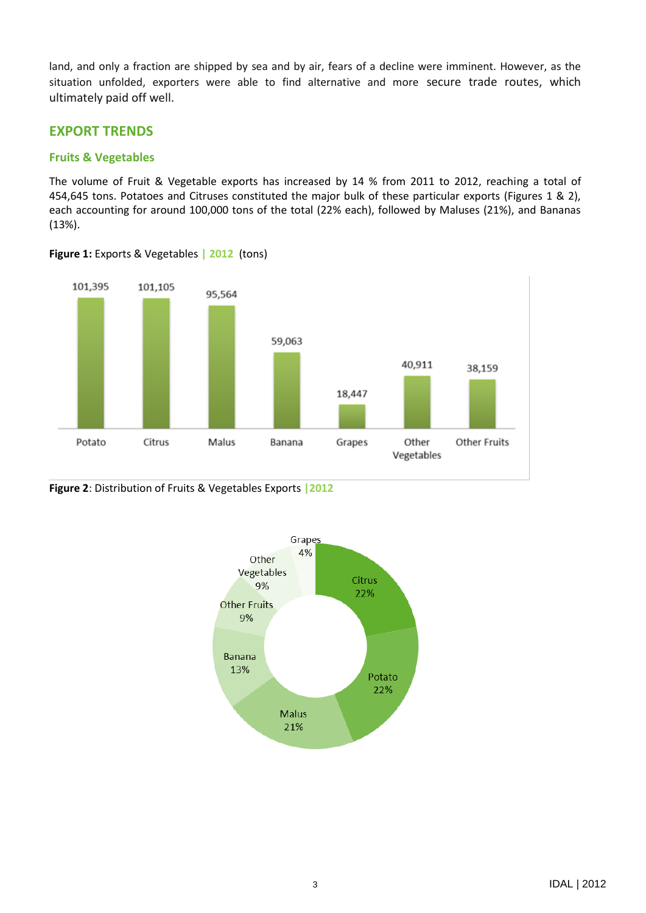land, and only a fraction are shipped by sea and by air, fears of a decline were imminent. However, as the situation unfolded, exporters were able to find alternative and more secure trade routes, which ultimately paid off well.

## **EXPORT TRENDS**

#### **Fruits & Vegetables**

The volume of Fruit & Vegetable exports has increased by 14 % from 2011 to 2012, reaching a total of 454,645 tons. Potatoes and Citruses constituted the major bulk of these particular exports (Figures 1 & 2), each accounting for around 100,000 tons of the total (22% each), followed by Maluses (21%), and Bananas (13%).



**Figure 1:** Exports & Vegetables **| 2012** (tons)

#### **Figure 2**: Distribution of Fruits & Vegetables Exports **|2012**

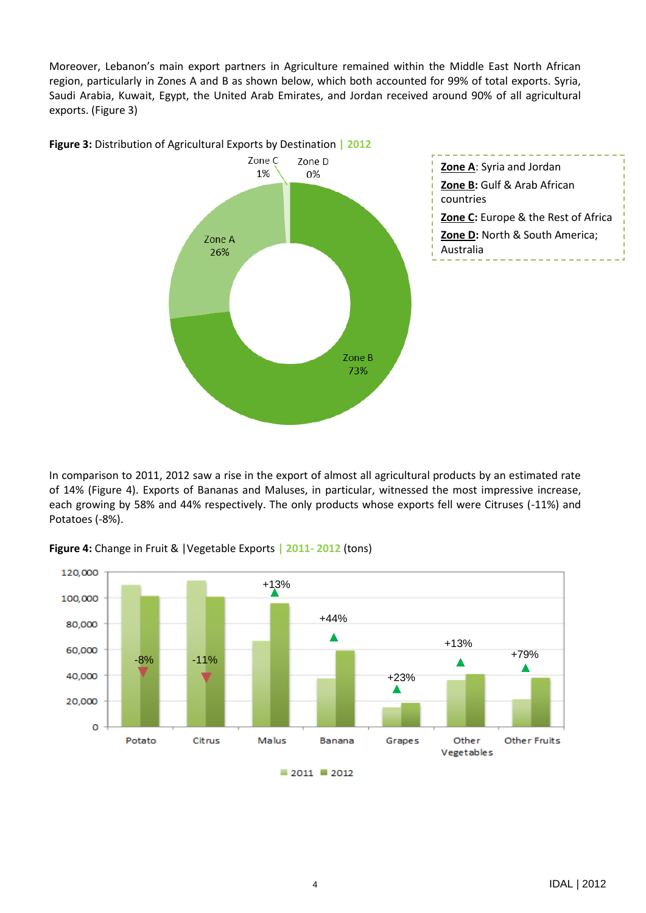Moreover, Lebanon's main export partners in Agriculture remained within the Middle East North African region, particularly in Zones A and B as shown below, which both accounted for 99% of total exports. Syria, Saudi Arabia, Kuwait, Egypt, the United Arab Emirates, and Jordan received around 90% of all agricultural exports. (Figure 3)



In comparison to 2011, 2012 saw a rise in the export of almost all agricultural products by an estimated rate of 14% (Figure 4). Exports of Bananas and Maluses, in particular, witnessed the most impressive increase, each growing by 58% and 44% respectively. The only products whose exports fell were Citruses (-11%) and Potatoes (-8%).



**Figure 4:** Change in Fruit & |Vegetable Exports **| 2011- 2012** (tons)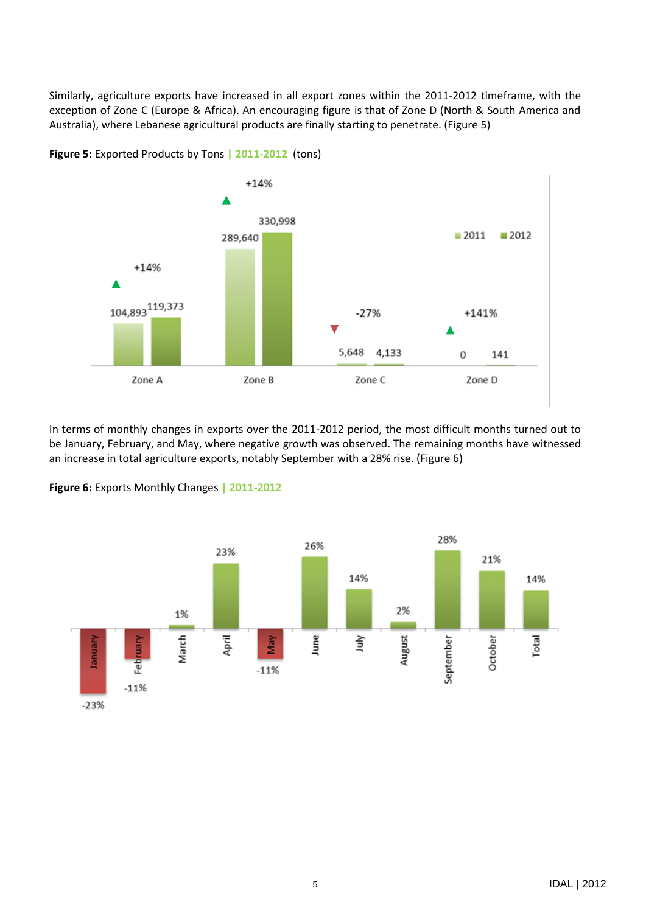Similarly, agriculture exports have increased in all export zones within the 2011-2012 timeframe, with the exception of Zone C (Europe & Africa). An encouraging figure is that of Zone D (North & South America and Australia), where Lebanese agricultural products are finally starting to penetrate. (Figure 5)



**Figure 5:** Exported Products by Tons **| 2011-2012** (tons)

In terms of monthly changes in exports over the 2011-2012 period, the most difficult months turned out to be January, February, and May, where negative growth was observed. The remaining months have witnessed an increase in total agriculture exports, notably September with a 28% rise. (Figure 6)



**Figure 6:** Exports Monthly Changes **| 2011-2012**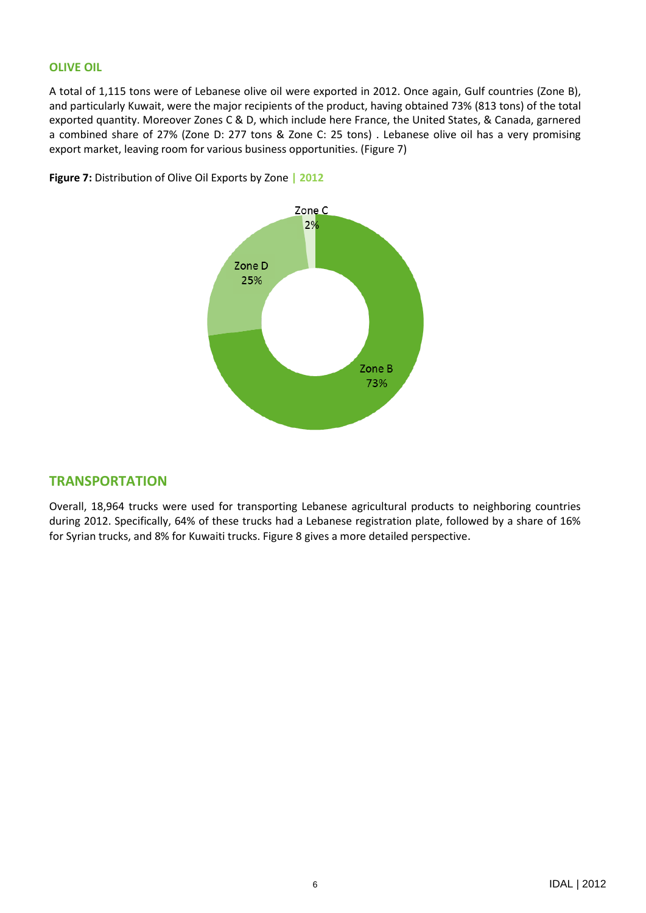#### **OLIVE OIL**

A total of 1,115 tons were of Lebanese olive oil were exported in 2012. Once again, Gulf countries (Zone B), and particularly Kuwait, were the major recipients of the product, having obtained 73% (813 tons) of the total exported quantity. Moreover Zones C & D, which include here France, the United States, & Canada, garnered a combined share of 27% (Zone D: 277 tons & Zone C: 25 tons) . Lebanese olive oil has a very promising export market, leaving room for various business opportunities. (Figure 7)



**Figure 7:** Distribution of Olive Oil Exports by Zone **| 2012**

## **TRANSPORTATION**

Overall, 18,964 trucks were used for transporting Lebanese agricultural products to neighboring countries during 2012. Specifically, 64% of these trucks had a Lebanese registration plate, followed by a share of 16% for Syrian trucks, and 8% for Kuwaiti trucks. Figure 8 gives a more detailed perspective.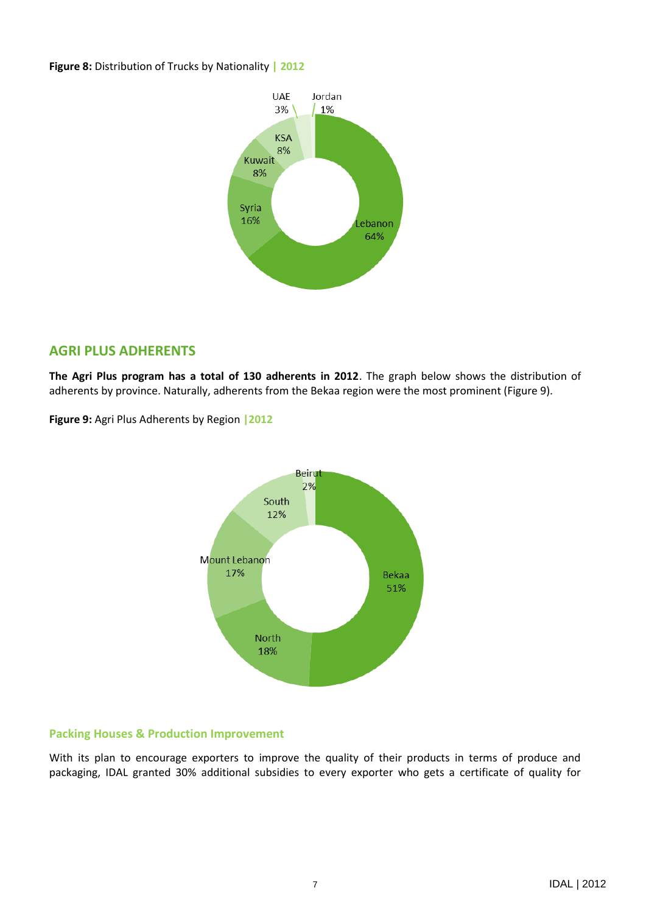#### **Figure 8:** Distribution of Trucks by Nationality **| 2012**



## **AGRI PLUS ADHERENTS**

**The Agri Plus program has a total of 130 adherents in 2012**. The graph below shows the distribution of adherents by province. Naturally, adherents from the Bekaa region were the most prominent (Figure 9).

**Figure 9:** Agri Plus Adherents by Region **|2012**



## **Packing Houses & Production Improvement**

With its plan to encourage exporters to improve the quality of their products in terms of produce and packaging, IDAL granted 30% additional subsidies to every exporter who gets a certificate of quality for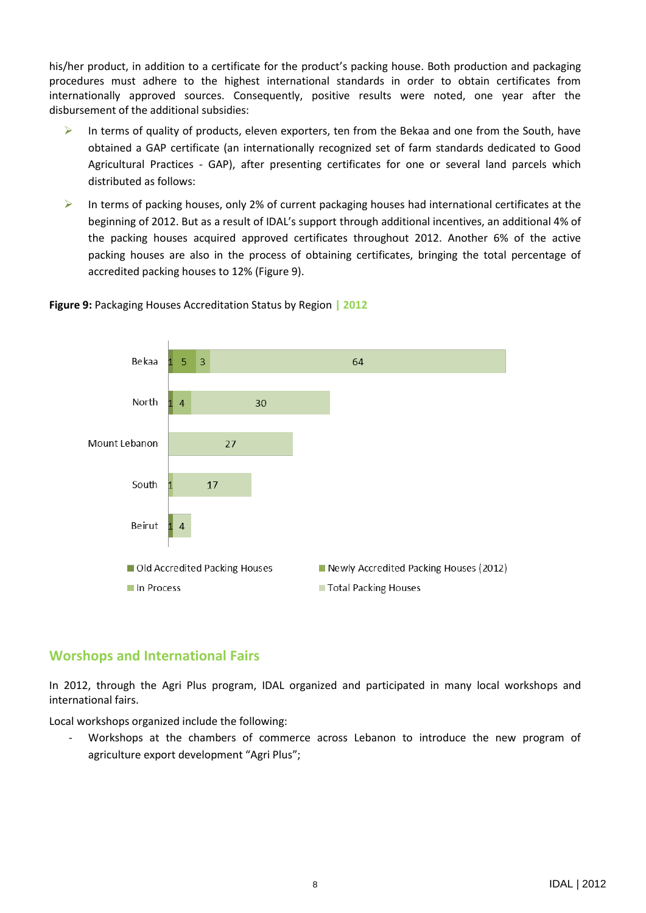his/her product, in addition to a certificate for the product's packing house. Both production and packaging procedures must adhere to the highest international standards in order to obtain certificates from internationally approved sources. Consequently, positive results were noted, one year after the disbursement of the additional subsidies:

- $\triangleright$  In terms of quality of products, eleven exporters, ten from the Bekaa and one from the South, have obtained a GAP certificate (an internationally recognized set of farm standards dedicated to Good Agricultural Practices - GAP), after presenting certificates for one or several land parcels which distributed as follows:
- In terms of packing houses, only 2% of current packaging houses had international certificates at the beginning of 2012. But as a result of IDAL's support through additional incentives, an additional 4% of the packing houses acquired approved certificates throughout 2012. Another 6% of the active packing houses are also in the process of obtaining certificates, bringing the total percentage of accredited packing houses to 12% (Figure 9).



## **Figure 9:** Packaging Houses Accreditation Status by Region **| 2012**

## **Worshops and International Fairs**

In 2012, through the Agri Plus program, IDAL organized and participated in many local workshops and international fairs.

Local workshops organized include the following:

Workshops at the chambers of commerce across Lebanon to introduce the new program of agriculture export development "Agri Plus";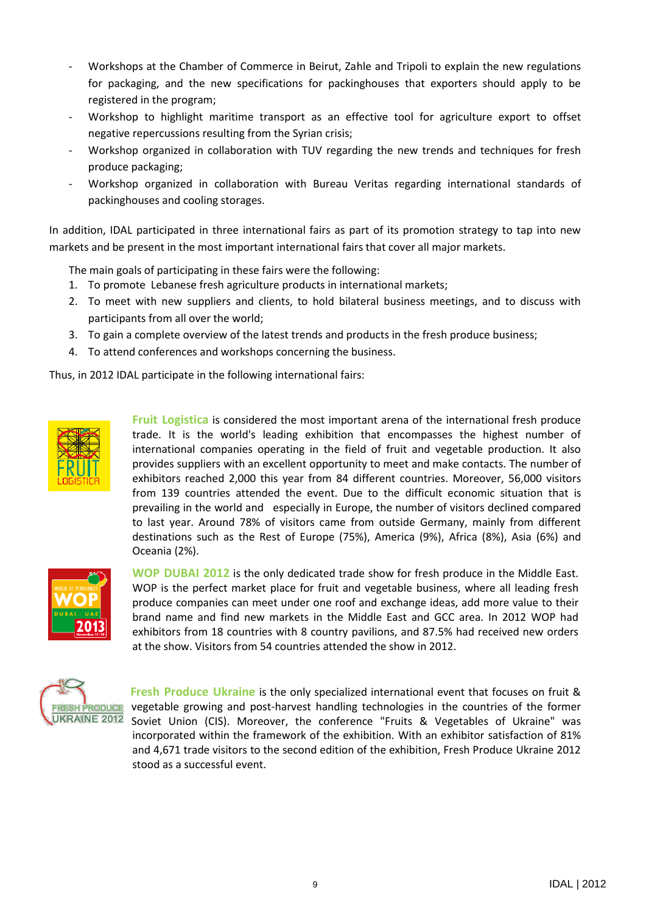- Workshops at the Chamber of Commerce in Beirut, Zahle and Tripoli to explain the new regulations for packaging, and the new specifications for packinghouses that exporters should apply to be registered in the program;
- Workshop to highlight maritime transport as an effective tool for agriculture export to offset negative repercussions resulting from the Syrian crisis;
- Workshop organized in collaboration with TUV regarding the new trends and techniques for fresh produce packaging;
- Workshop organized in collaboration with Bureau Veritas regarding international standards of packinghouses and cooling storages.

In addition, IDAL participated in three international fairs as part of its promotion strategy to tap into new markets and be present in the most important international fairs that cover all major markets.

The main goals of participating in these fairs were the following:

- 1. To promote Lebanese fresh agriculture products in international markets;
- 2. To meet with new suppliers and clients, to hold bilateral business meetings, and to discuss with participants from all over the world;
- 3. To gain a complete overview of the latest trends and products in the fresh produce business;
- 4. To attend conferences and workshops concerning the business.

Thus, in 2012 IDAL participate in the following international fairs:



**Fruit Logistica** is considered the most important arena of the international fresh produce trade. It is the world's leading exhibition that encompasses the highest number of international companies operating in the field of fruit and vegetable production. It also provides suppliers with an excellent opportunity to meet and make contacts. The number of exhibitors reached 2,000 this year from 84 different countries. Moreover, 56,000 visitors from 139 countries attended the event. Due to the difficult economic situation that is prevailing in the world and especially in Europe, the number of visitors declined compared to last year. Around 78% of visitors came from outside Germany, mainly from different destinations such as the Rest of Europe (75%), America (9%), Africa (8%), Asia (6%) and Oceania (2%).



**WOP DUBAI 2012** is the only dedicated trade show for fresh produce in the Middle East. WOP is the perfect market place for fruit and vegetable business, where all leading fresh produce companies can meet under one roof and exchange ideas, add more value to their brand name and find new markets in the Middle East and GCC area. In 2012 WOP had exhibitors from 18 countries with 8 country pavilions, and 87.5% had received new orders at the show. Visitors from 54 countries attended the show in 2012.



 **Fresh Produce Ukraine** is the only specialized international event that focuses on fruit & vegetable growing and post-harvest handling technologies in the countries of the former Soviet Union (CIS). Moreover, the conference "Fruits & Vegetables of Ukraine" was incorporated within the framework of the exhibition. With an exhibitor satisfaction of 81% and 4,671 trade visitors to the second edition of the exhibition, Fresh Produce Ukraine 2012 stood as a successful event.